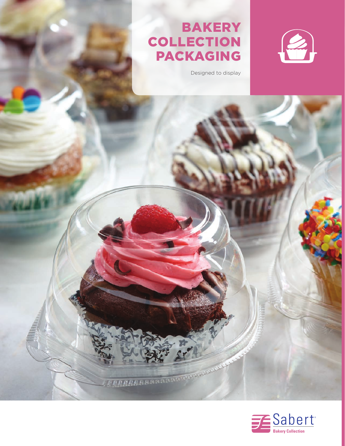## **BAKERY** COLLECTION PACKAGING

Designed to display